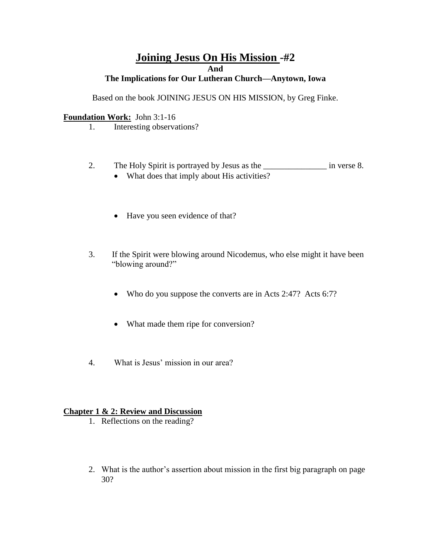# **Joining Jesus On His Mission -#2 And**

### **The Implications for Our Lutheran Church—Anytown, Iowa**

Based on the book JOINING JESUS ON HIS MISSION, by Greg Finke.

#### **Foundation Work:** John 3:1-16

- 1. Interesting observations?
- 2. The Holy Spirit is portrayed by Jesus as the \_\_\_\_\_\_\_\_\_\_\_\_\_\_\_\_\_\_ in verse 8.
	- What does that imply about His activities?
	- Have you seen evidence of that?
- 3. If the Spirit were blowing around Nicodemus, who else might it have been "blowing around?"
	- Who do you suppose the converts are in Acts 2:47? Acts 6:7?
	- What made them ripe for conversion?
- 4. What is Jesus' mission in our area?

#### **Chapter 1 & 2: Review and Discussion**

- 1. Reflections on the reading?
- 2. What is the author's assertion about mission in the first big paragraph on page 30?